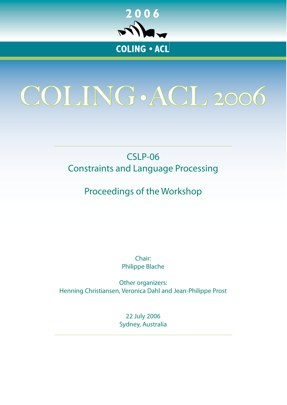

# <span id="page-0-0"></span>COLING•ACL 2006

# CSLP-06 Constraints and Language Processing

# Proceedings of the Workshop

Chair: Philippe Blache

Other organizers: Henning Christiansen, Veronica Dahl and Jean-Philippe Prost

> 22 July 2006 Sydney, Australia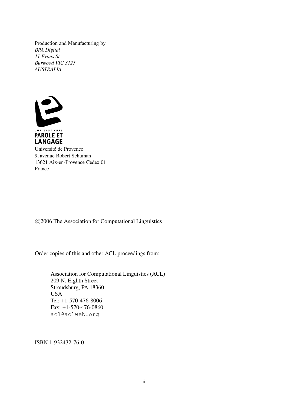Production and Manufacturing by *BPA Digital 11 Evans St Burwood VIC 3125 AUSTRALIA*



Université de Provence 9, avenue Robert Schuman 13621 Aix-en-Provence Cedex 01 France

c 2006 The Association for Computational Linguistics

Order copies of this and other ACL proceedings from:

Association for Computational Linguistics (ACL) 209 N. Eighth Street Stroudsburg, PA 18360 USA Tel: +1-570-476-8006 Fax: +1-570-476-0860 acl@aclweb.org

ISBN 1-932432-76-0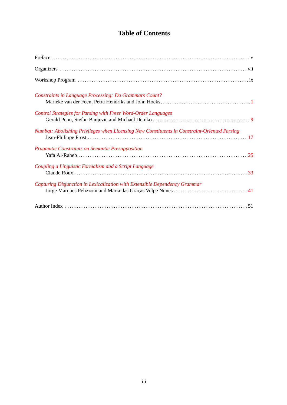# **Table of Contents**

| <b>Constraints in Language Processing: Do Grammars Count?</b>                                |  |
|----------------------------------------------------------------------------------------------|--|
| <b>Control Strategies for Parsing with Freer Word-Order Languages</b>                        |  |
| Numbat: Abolishing Privileges when Licensing New Constituents in Constraint-Oriented Parsing |  |
| <b>Pragmatic Constraints on Semantic Presupposition</b>                                      |  |
| Coupling a Linguistic Formalism and a Script Language                                        |  |
| Capturing Disjunction in Lexicalization with Extensible Dependency Grammar                   |  |
|                                                                                              |  |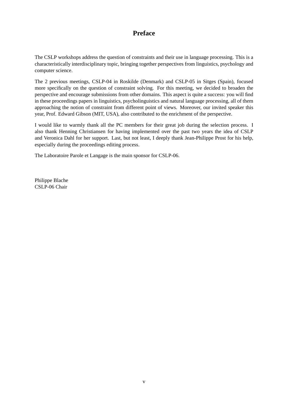## **Preface**

The CSLP workshops address the question of constraints and their use in language processing. This is a characteristically interdisciplinary topic, bringing together perspectives from linguistics, psychology and computer science.

The 2 previous meetings, CSLP-04 in Roskilde (Denmark) and CSLP-05 in Sitges (Spain), focused more specifically on the question of constraint solving. For this meeting, we decided to broaden the perspective and encourage submissions from other domains. This aspect is quite a success: you will find in these proceedings papers in linguistics, psycholinguistics and natural language processing, all of them approaching the notion of constraint from different point of views. Moreover, our invited speaker this year, Prof. Edward Gibson (MIT, USA), also contributed to the enrichment of the perspective.

I would like to warmly thank all the PC members for their great job during the selection process. I also thank Henning Christiansen for having implemented over the past two years the idea of CSLP and Veronica Dahl for her support. Last, but not least, I deeply thank Jean-Philippe Prost for his help, especially during the proceedings editing process.

The Laboratoire Parole et Langage is the main sponsor for CSLP-06.

Philippe Blache CSLP-06 Chair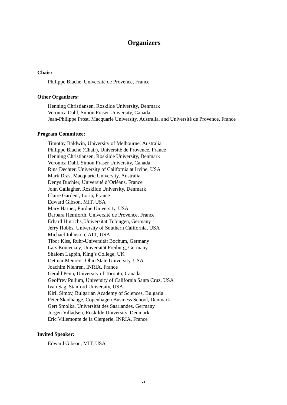### **Organizers**

#### **Chair:**

Philippe Blache, Universite de Provence, France ´

#### **Other Organizers:**

Henning Christiansen, Roskilde University, Denmark Veronica Dahl, Simon Fraser University, Canada Jean-Philippe Prost, Macquarie University, Australia, and Université de Provence, France

#### **Program Committee:**

Timothy Baldwin, University of Melbourne, Australia Philippe Blache (Chair), Université de Provence, France Henning Christiansen, Roskilde University, Denmark Veronica Dahl, Simon Fraser University, Canada Rina Dechter, University of California at Irvine, USA Mark Dras, Macquarie University, Australia Denys Duchier, Université d'Orléans, France John Gallagher, Roskilde University, Denmark Claire Gardent, Loria, France Edward Gibson, MIT, USA Mary Harper, Purdue University, USA Barbara Hemforth, Université de Provence, France Erhard Hinrichs, Universität Tübingen, Germany Jerry Hobbs, University of Southern California, USA Michael Johnston, ATT, USA Tibor Kiss, Ruhr-Universität Bochum, Germany Lars Konieczny, Universität Freiburg, Germany Shalom Lappin, King's College, UK Detmar Meurers, Ohio State University, USA Joachim Niehren, INRIA, France Gerald Penn, University of Toronto, Canada Geoffrey Pullum, University of California Santa Cruz, USA Ivan Sag, Stanford University, USA Kiril Simov, Bulgarian Academy of Sciences, Bulgaria Peter Skadhauge, Copenhagen Business School, Denmark Gert Smolka, Universität des Saarlandes, Germany Jorgen Villadsen, Roskilde University, Denmark Eric Villemonte de la Clergerie, INRIA, France

#### **Invited Speaker:**

Edward Gibson, MIT, USA